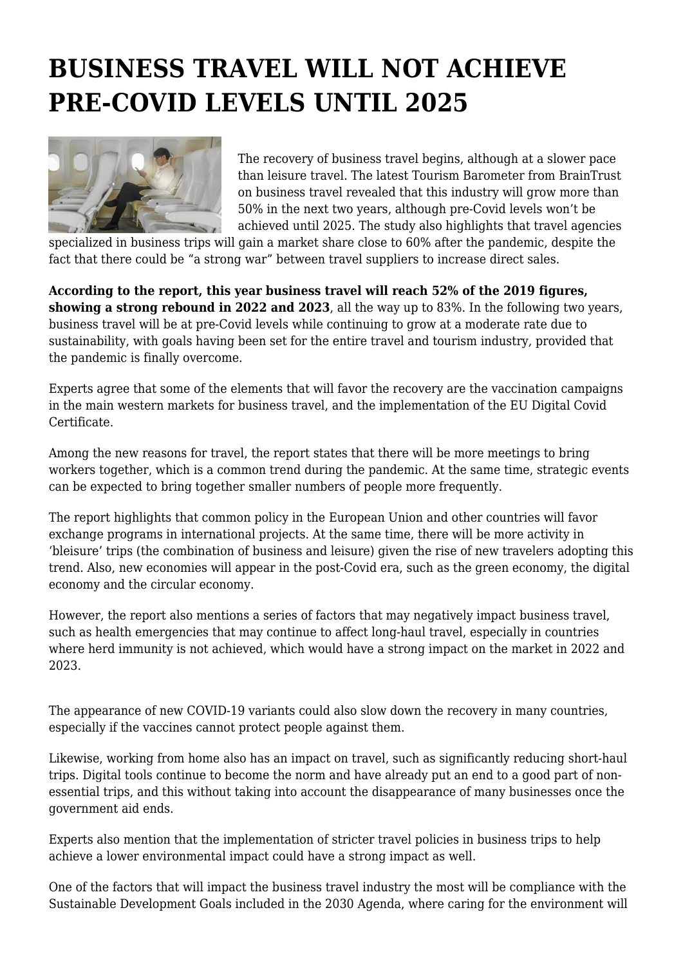## **BUSINESS TRAVEL WILL NOT ACHIEVE PRE-COVID LEVELS UNTIL 2025**



The recovery of business travel begins, although at a slower pace than leisure travel. The latest Tourism Barometer from BrainTrust on business travel revealed that this industry will grow more than 50% in the next two years, although pre-Covid levels won't be achieved until 2025. The study also highlights that travel agencies

specialized in business trips will gain a market share close to 60% after the pandemic, despite the fact that there could be "a strong war" between travel suppliers to increase direct sales.

**According to the report, this year business travel will reach 52% of the 2019 figures, showing a strong rebound in 2022 and 2023**, all the way up to 83%. In the following two years, business travel will be at pre-Covid levels while continuing to grow at a moderate rate due to sustainability, with goals having been set for the entire travel and tourism industry, provided that the pandemic is finally overcome.

Experts agree that some of the elements that will favor the recovery are the vaccination campaigns in the main western markets for business travel, and the implementation of the EU Digital Covid Certificate.

Among the new reasons for travel, the report states that there will be more meetings to bring workers together, which is a common trend during the pandemic. At the same time, strategic events can be expected to bring together smaller numbers of people more frequently.

The report highlights that common policy in the European Union and other countries will favor exchange programs in international projects. At the same time, there will be more activity in 'bleisure' trips (the combination of business and leisure) given the rise of new travelers adopting this trend. Also, new economies will appear in the post-Covid era, such as the green economy, the digital economy and the circular economy.

However, the report also mentions a series of factors that may negatively impact business travel, such as health emergencies that may continue to affect long-haul travel, especially in countries where herd immunity is not achieved, which would have a strong impact on the market in 2022 and 2023.

The appearance of new COVID-19 variants could also slow down the recovery in many countries, especially if the vaccines cannot protect people against them.

Likewise, working from home also has an impact on travel, such as significantly reducing short-haul trips. Digital tools continue to become the norm and have already put an end to a good part of nonessential trips, and this without taking into account the disappearance of many businesses once the government aid ends.

Experts also mention that the implementation of stricter travel policies in business trips to help achieve a lower environmental impact could have a strong impact as well.

One of the factors that will impact the business travel industry the most will be compliance with the Sustainable Development Goals included in the 2030 Agenda, where caring for the environment will